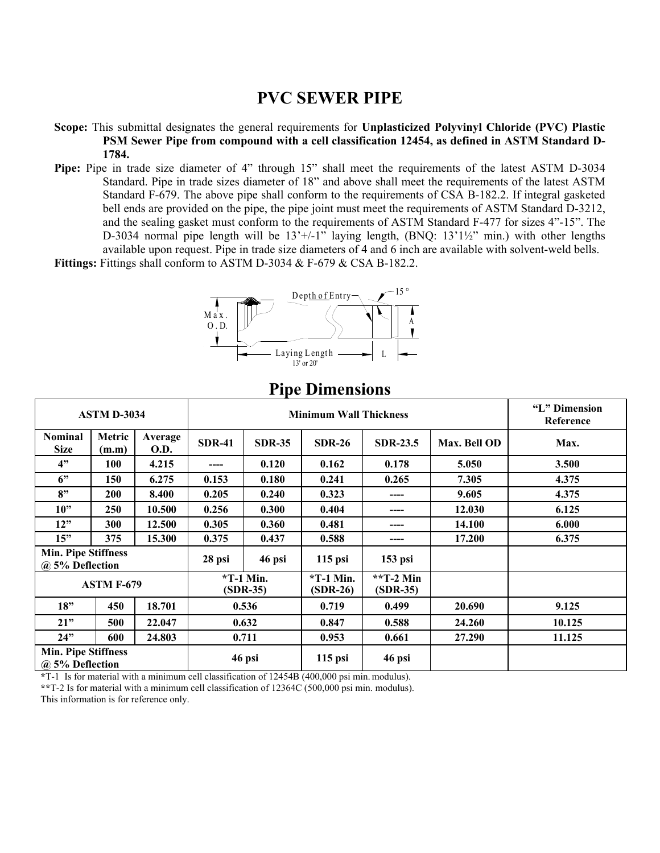## **PVC SEWER PIPE**

- **Scope:** This submittal designates the general requirements for **Unplasticized Polyvinyl Chloride (PVC) Plastic PSM Sewer Pipe from compound with a cell classification 12454, as defined in ASTM Standard D-1784.**
- Pipe: Pipe in trade size diameter of 4" through 15" shall meet the requirements of the latest ASTM D-3034 Standard. Pipe in trade sizes diameter of 18" and above shall meet the requirements of the latest ASTM Standard F-679. The above pipe shall conform to the requirements of CSA B-182.2. If integral gasketed bell ends are provided on the pipe, the pipe joint must meet the requirements of ASTM Standard D-3212, and the sealing gasket must conform to the requirements of ASTM Standard F-477 for sizes 4"-15". The D-3034 normal pipe length will be 13'+/-1" laying length, (BNQ: 13'1½" min.) with other lengths available upon request. Pipe in trade size diameters of 4 and 6 inch are available with solvent-weld bells.

Fittings: Fittings shall conform to ASTM D-3034 & F-679 & CSA B-182.2.



## **Pipe Dimensions**

| <b>ASTM D-3034</b>                            |                 |                        | <b>Minimum Wall Thickness</b> |               |                           |                         |              | "L" Dimension<br>Reference |
|-----------------------------------------------|-----------------|------------------------|-------------------------------|---------------|---------------------------|-------------------------|--------------|----------------------------|
| <b>Nominal</b><br><b>Size</b>                 | Metric<br>(m.m) | Average<br><b>O.D.</b> | <b>SDR-41</b>                 | <b>SDR-35</b> | <b>SDR-26</b>             | <b>SDR-23.5</b>         | Max. Bell OD | Max.                       |
| 4"                                            | <b>100</b>      | 4.215                  | ----                          | 0.120         | 0.162                     | 0.178                   | 5.050        | 3.500                      |
| 6"                                            | 150             | 6.275                  | 0.153                         | 0.180         | 0.241                     | 0.265                   | 7.305        | 4.375                      |
| 8"                                            | <b>200</b>      | 8.400                  | 0.205                         | 0.240         | 0.323                     | ----                    | 9.605        | 4.375                      |
| 10"                                           | 250             | 10.500                 | 0.256                         | 0.300         | 0.404                     | ----                    | 12.030       | 6.125                      |
| 12"                                           | 300             | 12.500                 | 0.305                         | 0.360         | 0.481                     | ----                    | 14.100       | 6.000                      |
| 15"                                           | 375             | 15.300                 | 0.375                         | 0.437         | 0.588                     | ----                    | 17.200       | 6.375                      |
| <b>Min. Pipe Stiffness</b><br>@ 5% Deflection |                 |                        | 28 psi                        | 46 psi        | $115$ psi                 | $153$ psi               |              |                            |
| <b>ASTM F-679</b>                             |                 |                        | $*T-1$ Min.<br>$(SDR-35)$     |               | $*T-1$ Min.<br>$(SDR-26)$ | **T-2 Min<br>$(SDR-35)$ |              |                            |
| 18"                                           | 450             | 18.701                 | 0.536                         |               | 0.719                     | 0.499                   | 20.690       | 9.125                      |
| 21"                                           | 500             | 22.047                 | 0.632                         |               | 0.847                     | 0.588                   | 24.260       | 10.125                     |
| 24"                                           | 600             | 24.803                 | 0.711                         |               | 0.953                     | 0.661                   | 27.290       | 11.125                     |
| <b>Min. Pipe Stiffness</b><br>@ 5% Deflection |                 |                        | 46 psi                        |               | $115$ psi                 | 46 psi                  |              |                            |

**\***T-1 Is for material with a minimum cell classification of 12454B (400,000 psi min. modulus).

**\*\***T-2 Is for material with a minimum cell classification of 12364C (500,000 psi min. modulus).

This information is for reference only.